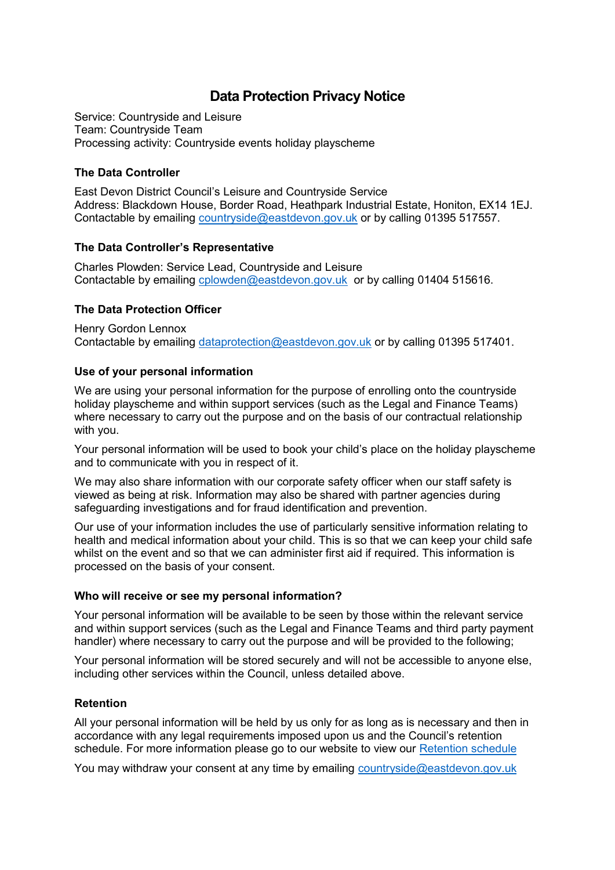# **Data Protection Privacy Notice**

Service: Countryside and Leisure Team: Countryside Team Processing activity: Countryside events holiday playscheme

## **The Data Controller**

East Devon District Council's Leisure and Countryside Service Address: Blackdown House, Border Road, Heathpark Industrial Estate, Honiton, EX14 1EJ. Contactable by emailing [countryside@eastdevon.gov.uk](mailto:countryside@eastdevon.gov.uk) or by calling 01395 517557.

# **The Data Controller's Representative**

Charles Plowden: Service Lead, Countryside and Leisure Contactable by emailing [cplowden@eastdevon.gov.uk](mailto:cplowden@eastdevon.gov.uk) or by calling 01404 515616.

# **The Data Protection Officer**

Henry Gordon Lennox Contactable by emailing [dataprotection@eastdevon.gov.uk](mailto:dataprotection@eastdevon.gov.uk) or by calling 01395 517401.

## **Use of your personal information**

We are using your personal information for the purpose of enrolling onto the countryside holiday playscheme and within support services (such as the Legal and Finance Teams) where necessary to carry out the purpose and on the basis of our contractual relationship with you.

Your personal information will be used to book your child's place on the holiday playscheme and to communicate with you in respect of it.

We may also share information with our corporate safety officer when our staff safety is viewed as being at risk. Information may also be shared with partner agencies during safeguarding investigations and for fraud identification and prevention.

Our use of your information includes the use of particularly sensitive information relating to health and medical information about your child. This is so that we can keep your child safe whilst on the event and so that we can administer first aid if required. This information is processed on the basis of your consent.

## **Who will receive or see my personal information?**

Your personal information will be available to be seen by those within the relevant service and within support services (such as the Legal and Finance Teams and third party payment handler) where necessary to carry out the purpose and will be provided to the following;

Your personal information will be stored securely and will not be accessible to anyone else, including other services within the Council, unless detailed above.

## **Retention**

All your personal information will be held by us only for as long as is necessary and then in accordance with any legal requirements imposed upon us and the Council's retention schedule. For more information please go to our website to view our [Retention schedule](http://eastdevon.gov.uk/access-to-information/data-protection/document-retention-schedules/)

You may withdraw your consent at any time by emailing [countryside@eastdevon.gov.uk](mailto:countryside@eastdevon.gov.uk)